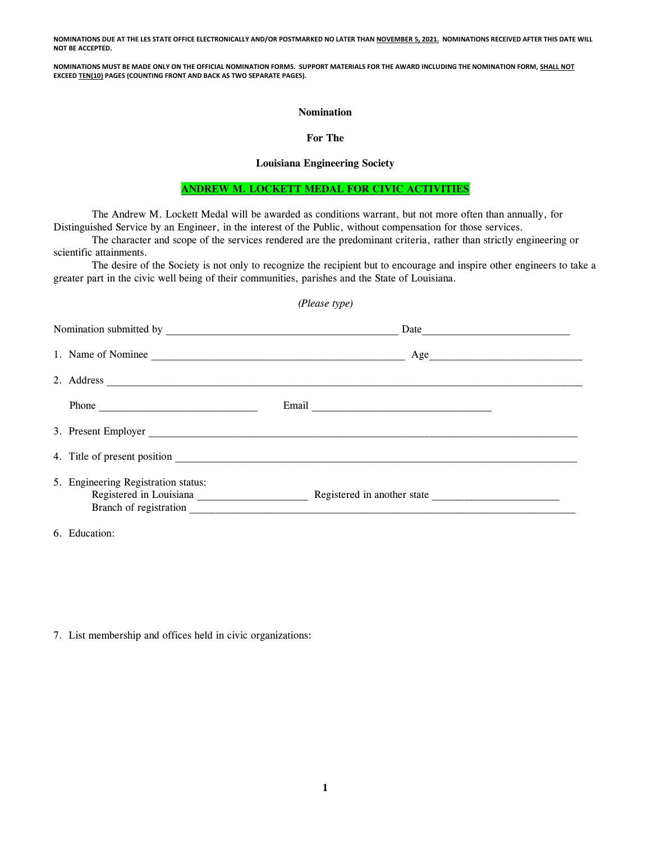**NOMINATIONS DUE AT THE LES STATE OFFICE ELECTRONICALLY AND/OR POSTMARKED NO LATER THAN NOVEMBER 5, 2021. NOMINATIONS RECEIVED AFTER THIS DATE WILL NOT BE ACCEPTED.**

**NOMINATIONS MUST BE MADE ONLY ON THE OFFICIAL NOMINATION FORMS. SUPPORT MATERIALS FOR THE AWARD INCLUDING THE NOMINATION FORM, SHALL NOT EXCEED TEN(10) PAGES (COUNTING FRONT AND BACK AS TWO SEPARATE PAGES).**

#### **Nomination**

### **For The**

## **Louisiana Engineering Society**

## **ANDREW M. LOCKETT MEDAL FOR CIVIC ACTIVITIES**

The Andrew M. Lockett Medal will be awarded as conditions warrant, but not more often than annually, for Distinguished Service by an Engineer, in the interest of the Public, without compensation for those services.

The character and scope of the services rendered are the predominant criteria, rather than strictly engineering or scientific attainments.

The desire of the Society is not only to recognize the recipient but to encourage and inspire other engineers to take a greater part in the civic well being of their communities, parishes and the State of Louisiana.

| (Please type)                                                                                                                                                                                                                                                                                                                               |     |  |
|---------------------------------------------------------------------------------------------------------------------------------------------------------------------------------------------------------------------------------------------------------------------------------------------------------------------------------------------|-----|--|
|                                                                                                                                                                                                                                                                                                                                             |     |  |
| 1. Name of Nominee                                                                                                                                                                                                                                                                                                                          | Age |  |
|                                                                                                                                                                                                                                                                                                                                             |     |  |
| Phone $\qquad \qquad$ $\qquad$ $\qquad$ $\qquad$ $\qquad$ $\qquad$ $\qquad$ $\qquad$ $\qquad$ $\qquad$ $\qquad$ $\qquad$ $\qquad$ $\qquad$ $\qquad$ $\qquad$ $\qquad$ $\qquad$ $\qquad$ $\qquad$ $\qquad$ $\qquad$ $\qquad$ $\qquad$ $\qquad$ $\qquad$ $\qquad$ $\qquad$ $\qquad$ $\qquad$ $\qquad$ $\qquad$ $\qquad$ $\qquad$ $\qquad$ $\$ |     |  |
|                                                                                                                                                                                                                                                                                                                                             |     |  |
|                                                                                                                                                                                                                                                                                                                                             |     |  |
| 5. Engineering Registration status:                                                                                                                                                                                                                                                                                                         |     |  |

6. Education:

7. List membership and offices held in civic organizations: